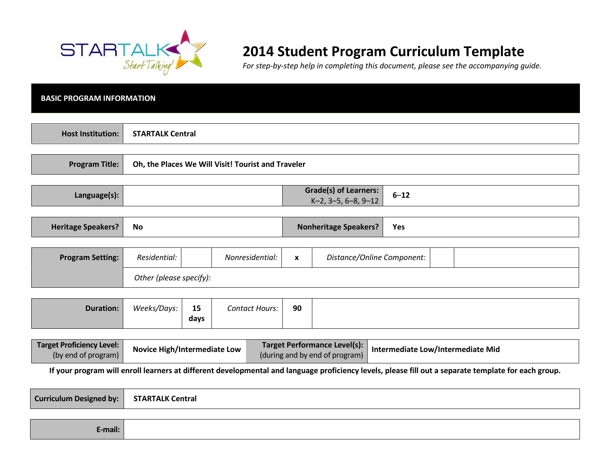

E-mail:

# 2014 Student Program Curriculum Template

For step-by-step help in completing this document, please see the accompanying guide.

| <b>BASIC PROGRAM INFORMATION</b>                                                                                                                                                                      |                         |                                                    |                       |                  |                                                        |          |  |
|-------------------------------------------------------------------------------------------------------------------------------------------------------------------------------------------------------|-------------------------|----------------------------------------------------|-----------------------|------------------|--------------------------------------------------------|----------|--|
| <b>Host Institution:</b>                                                                                                                                                                              |                         | <b>STARTALK Central</b>                            |                       |                  |                                                        |          |  |
| <b>Program Title:</b>                                                                                                                                                                                 |                         | Oh, the Places We Will Visit! Tourist and Traveler |                       |                  |                                                        |          |  |
| Language(s):                                                                                                                                                                                          |                         |                                                    |                       |                  | <b>Grade(s) of Learners:</b><br>$K-2$ , 3-5, 6-8, 9-12 | $6 - 12$ |  |
| <b>Heritage Speakers?</b>                                                                                                                                                                             | <b>No</b>               |                                                    |                       |                  | <b>Nonheritage Speakers?</b>                           | Yes      |  |
| <b>Program Setting:</b>                                                                                                                                                                               | Residential:            |                                                    | Nonresidential:       | $\boldsymbol{x}$ | Distance/Online Component:                             |          |  |
|                                                                                                                                                                                                       | Other (please specify): |                                                    |                       |                  |                                                        |          |  |
| <b>Duration:</b>                                                                                                                                                                                      | Weeks/Days:             | 15<br>days                                         | <b>Contact Hours:</b> | 90               |                                                        |          |  |
| <b>Target Proficiency Level:</b><br><b>Target Performance Level(s):</b><br>Novice High/Intermediate Low<br>Intermediate Low/Intermediate Mid<br>(by end of program)<br>(during and by end of program) |                         |                                                    |                       |                  |                                                        |          |  |
| If your program will enroll learners at different developmental and language proficiency levels, please fill out a separate template for each group.                                                  |                         |                                                    |                       |                  |                                                        |          |  |
| <b>Curriculum Designed by:</b>                                                                                                                                                                        | <b>STARTALK Central</b> |                                                    |                       |                  |                                                        |          |  |
|                                                                                                                                                                                                       |                         |                                                    |                       |                  |                                                        |          |  |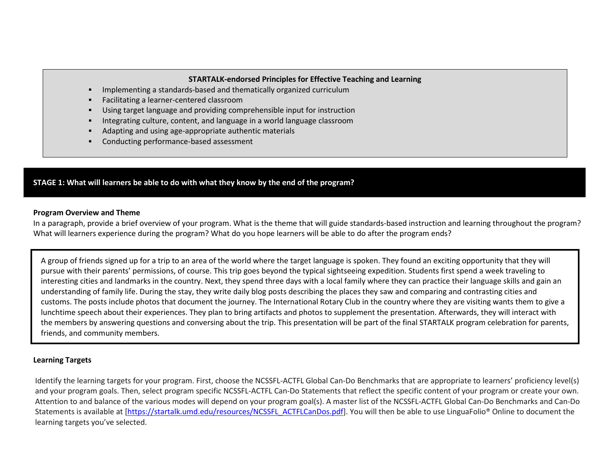#### STARTALK-endorsed Principles for Effective Teaching and Learning

- П Implementing a standards-based and thematically organized curriculum
- $\blacksquare$ Facilitating a learner-centered classroom
- $\blacksquare$ Using target language and providing comprehensible input for instruction
- П Integrating culture, content, and language in a world language classroom
- П Adapting and using age-appropriate authentic materials
- П Conducting performance-based assessment

## STAGE 1: What will learners be able to do with what they know by the end of the program?

#### Program Overview and Theme

In a paragraph, provide a brief overview of your program. What is the theme that will guide standards-based instruction and learning throughout the program? What will learners experience during the program? What do you hope learners will be able to do after the program ends?

A group of friends signed up for a trip to an area of the world where the target language is spoken. They found an exciting opportunity that they will pursue with their parents' permissions, of course. This trip goes beyond the typical sightseeing expedition. Students first spend a week traveling to interesting cities and landmarks in the country. Next, they spend three days with a local family where they can practice their language skills and gain an understanding of family life. During the stay, they write daily blog posts describing the places they saw and comparing and contrasting cities and customs. The posts include photos that document the journey. The International Rotary Club in the country where they are visiting wants them to give a lunchtime speech about their experiences. They plan to bring artifacts and photos to supplement the presentation. Afterwards, they will interact with the members by answering questions and conversing about the trip. This presentation will be part of the final STARTALK program celebration for parents, friends, and community members.

## Learning Targets

Identify the learning targets for your program. First, choose the NCSSFL-ACTFL Global Can-Do Benchmarks that are appropriate to learners' proficiency level(s) and your program goals. Then, select program specific NCSSFL-ACTFL Can-Do Statements that reflect the specific content of your program or create your own.Attention to and balance of the various modes will depend on your program goal(s). A master list of the NCSSFL-ACTFL Global Can-Do Benchmarks and Can-Do Statements is available at [https://startalk.umd.edu/resources/NCSSFL\_ACTFLCanDos.pdf]. You will then be able to use LinguaFolio® Online to document the learning targets you've selected.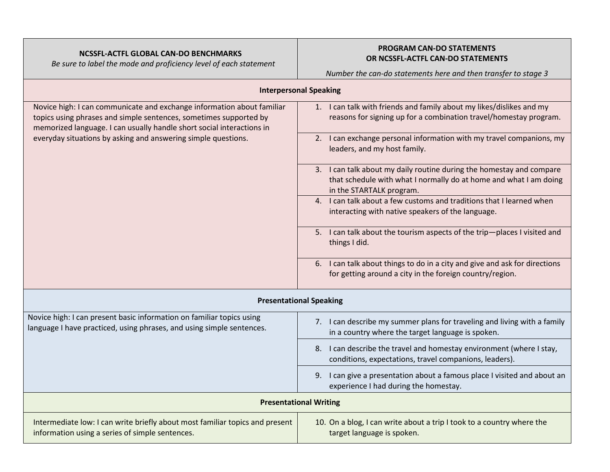## NCSSFL-ACTFL GLOBAL CAN-DO BENCHMARKS

Be sure to label the mode and proficiency level of each statement

## PROGRAM CAN-DO STATEMENTS OR NCSSFL-ACTFL CAN-DO STATEMENTS

Number the can-do statements here and then transfer to stage 3

| <b>Interpersonal Speaking</b>                                                                                                                                                                                        |                                                                                                                                                                       |  |  |  |
|----------------------------------------------------------------------------------------------------------------------------------------------------------------------------------------------------------------------|-----------------------------------------------------------------------------------------------------------------------------------------------------------------------|--|--|--|
| Novice high: I can communicate and exchange information about familiar<br>topics using phrases and simple sentences, sometimes supported by<br>memorized language. I can usually handle short social interactions in | 1. I can talk with friends and family about my likes/dislikes and my<br>reasons for signing up for a combination travel/homestay program.                             |  |  |  |
| everyday situations by asking and answering simple questions.                                                                                                                                                        | 2. I can exchange personal information with my travel companions, my<br>leaders, and my host family.                                                                  |  |  |  |
|                                                                                                                                                                                                                      | 3. I can talk about my daily routine during the homestay and compare<br>that schedule with what I normally do at home and what I am doing<br>in the STARTALK program. |  |  |  |
|                                                                                                                                                                                                                      | 4. I can talk about a few customs and traditions that I learned when<br>interacting with native speakers of the language.                                             |  |  |  |
|                                                                                                                                                                                                                      | 5. I can talk about the tourism aspects of the trip-places I visited and<br>things I did.                                                                             |  |  |  |
|                                                                                                                                                                                                                      | 6. I can talk about things to do in a city and give and ask for directions<br>for getting around a city in the foreign country/region.                                |  |  |  |
|                                                                                                                                                                                                                      | <b>Presentational Speaking</b>                                                                                                                                        |  |  |  |
| Novice high: I can present basic information on familiar topics using<br>language I have practiced, using phrases, and using simple sentences.                                                                       | 7. I can describe my summer plans for traveling and living with a family<br>in a country where the target language is spoken.                                         |  |  |  |
|                                                                                                                                                                                                                      | 8. I can describe the travel and homestay environment (where I stay,<br>conditions, expectations, travel companions, leaders).                                        |  |  |  |
|                                                                                                                                                                                                                      | 9. I can give a presentation about a famous place I visited and about an<br>experience I had during the homestay.                                                     |  |  |  |
| <b>Presentational Writing</b>                                                                                                                                                                                        |                                                                                                                                                                       |  |  |  |
| Intermediate low: I can write briefly about most familiar topics and present<br>information using a series of simple sentences.                                                                                      | 10. On a blog, I can write about a trip I took to a country where the<br>target language is spoken.                                                                   |  |  |  |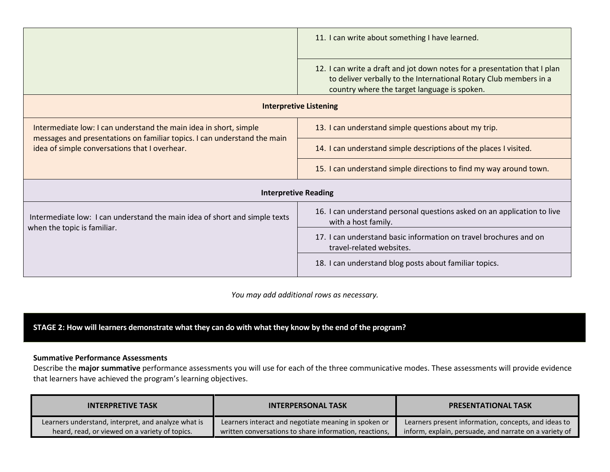|                                                                                                                           | 11. I can write about something I have learned.                                                                                                                                                |  |  |
|---------------------------------------------------------------------------------------------------------------------------|------------------------------------------------------------------------------------------------------------------------------------------------------------------------------------------------|--|--|
|                                                                                                                           | 12. I can write a draft and jot down notes for a presentation that I plan<br>to deliver verbally to the International Rotary Club members in a<br>country where the target language is spoken. |  |  |
|                                                                                                                           | <b>Interpretive Listening</b>                                                                                                                                                                  |  |  |
| Intermediate low: I can understand the main idea in short, simple                                                         | 13. I can understand simple questions about my trip.                                                                                                                                           |  |  |
| messages and presentations on familiar topics. I can understand the main<br>idea of simple conversations that I overhear. | 14. I can understand simple descriptions of the places I visited.                                                                                                                              |  |  |
|                                                                                                                           | 15. I can understand simple directions to find my way around town.                                                                                                                             |  |  |
|                                                                                                                           | <b>Interpretive Reading</b>                                                                                                                                                                    |  |  |
| Intermediate low: I can understand the main idea of short and simple texts<br>when the topic is familiar.                 | 16. I can understand personal questions asked on an application to live<br>with a host family.                                                                                                 |  |  |
|                                                                                                                           | 17. I can understand basic information on travel brochures and on<br>travel-related websites.                                                                                                  |  |  |
|                                                                                                                           | 18. I can understand blog posts about familiar topics.                                                                                                                                         |  |  |

You may add additional rows as necessary.

## STAGE 2: How will learners demonstrate what they can do with what they know by the end of the program?

#### Summative Performance Assessments

Describe the major summative performance assessments you will use for each of the three communicative modes. These assessments will provide evidence that learners have achieved the program's learning objectives.

| <b>INTERPRETIVE TASK</b>                            | <b>INTERPERSONAL TASK</b>                              | <b>PRESENTATIONAL TASK</b>                             |
|-----------------------------------------------------|--------------------------------------------------------|--------------------------------------------------------|
| Learners understand, interpret, and analyze what is | Learners interact and negotiate meaning in spoken or   | Learners present information, concepts, and ideas to   |
| heard, read, or viewed on a variety of topics.      | written conversations to share information, reactions, | inform, explain, persuade, and narrate on a variety of |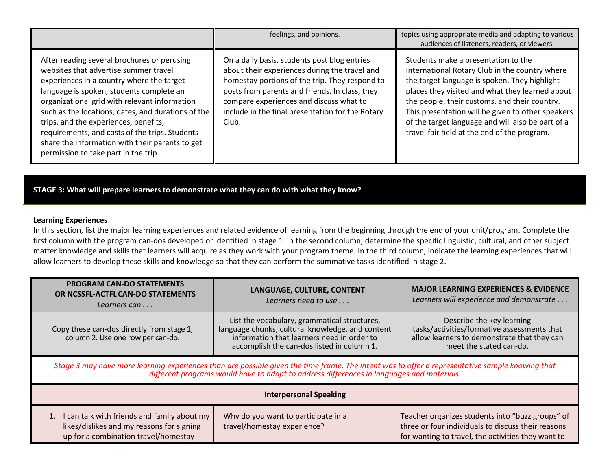|                                                                                                                                                                                                                                                                                                                                                                                                                                                                            | feelings, and opinions.                                                                                                                                                                                                                                                                                   | topics using appropriate media and adapting to various<br>audiences of listeners, readers, or viewers.                                                                                                                                                                                                                                                                                              |
|----------------------------------------------------------------------------------------------------------------------------------------------------------------------------------------------------------------------------------------------------------------------------------------------------------------------------------------------------------------------------------------------------------------------------------------------------------------------------|-----------------------------------------------------------------------------------------------------------------------------------------------------------------------------------------------------------------------------------------------------------------------------------------------------------|-----------------------------------------------------------------------------------------------------------------------------------------------------------------------------------------------------------------------------------------------------------------------------------------------------------------------------------------------------------------------------------------------------|
| After reading several brochures or perusing<br>websites that advertise summer travel<br>experiences in a country where the target<br>language is spoken, students complete an<br>organizational grid with relevant information<br>such as the locations, dates, and durations of the<br>trips, and the experiences, benefits,<br>requirements, and costs of the trips. Students<br>share the information with their parents to get<br>permission to take part in the trip. | On a daily basis, students post blog entries<br>about their experiences during the travel and<br>homestay portions of the trip. They respond to<br>posts from parents and friends. In class, they<br>compare experiences and discuss what to<br>include in the final presentation for the Rotary<br>Club. | Students make a presentation to the<br>International Rotary Club in the country where<br>the target language is spoken. They highlight<br>places they visited and what they learned about<br>the people, their customs, and their country.<br>This presentation will be given to other speakers<br>of the target language and will also be part of a<br>travel fair held at the end of the program. |

STAGE 3: What will prepare learners to demonstrate what they can do with what they know?

#### Learning Experiences

 In this section, list the major learning experiences and related evidence of learning from the beginning through the end of your unit/program. Complete the first column with the program can-dos developed or identified in stage 1. In the second column, determine the specific linguistic, cultural, and other subject matter knowledge and skills that learners will acquire as they work with your program theme. In the third column, indicate the learning experiences that will allow learners to develop these skills and knowledge so that they can perform the summative tasks identified in stage 2.

| <b>PROGRAM CAN-DO STATEMENTS</b><br>OR NCSSFL-ACTFL CAN-DO STATEMENTS<br>Learners can                                                                                                                                                        | LANGUAGE, CULTURE, CONTENT<br>Learners need to use $\dots$                                                                                                                                   | <b>MAJOR LEARNING EXPERIENCES &amp; EVIDENCE</b><br>Learners will experience and demonstrate                                                                 |  |  |
|----------------------------------------------------------------------------------------------------------------------------------------------------------------------------------------------------------------------------------------------|----------------------------------------------------------------------------------------------------------------------------------------------------------------------------------------------|--------------------------------------------------------------------------------------------------------------------------------------------------------------|--|--|
| Copy these can-dos directly from stage 1,<br>column 2. Use one row per can-do.                                                                                                                                                               | List the vocabulary, grammatical structures,<br>language chunks, cultural knowledge, and content<br>information that learners need in order to<br>accomplish the can-dos listed in column 1. | Describe the key learning<br>tasks/activities/formative assessments that<br>allow learners to demonstrate that they can<br>meet the stated can-do.           |  |  |
| Stage 3 may have more learning experiences than are possible given the time frame. The intent was to offer a representative sample knowing that<br>different programs would have to adapt to address differences in languages and materials. |                                                                                                                                                                                              |                                                                                                                                                              |  |  |
| <b>Interpersonal Speaking</b>                                                                                                                                                                                                                |                                                                                                                                                                                              |                                                                                                                                                              |  |  |
| 1. I can talk with friends and family about my<br>likes/dislikes and my reasons for signing<br>up for a combination travel/homestay                                                                                                          | Why do you want to participate in a<br>travel/homestay experience?                                                                                                                           | Teacher organizes students into "buzz groups" of<br>three or four individuals to discuss their reasons<br>for wanting to travel, the activities they want to |  |  |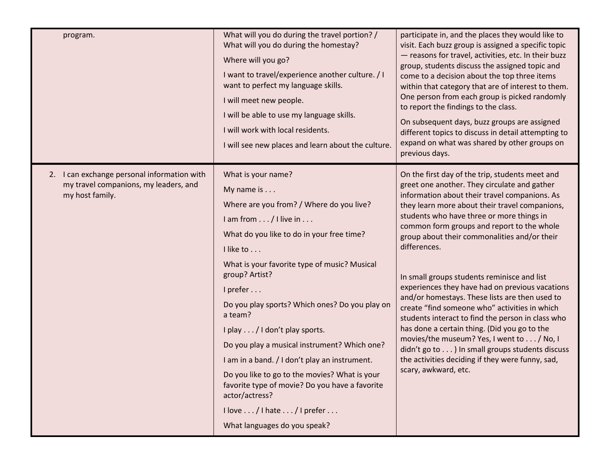| program.                                                                                                | What will you do during the travel portion? /<br>What will you do during the homestay?<br>Where will you go?<br>I want to travel/experience another culture. / I<br>want to perfect my language skills.<br>I will meet new people.<br>I will be able to use my language skills.<br>I will work with local residents.<br>I will see new places and learn about the culture.                                                                                                                                                                                                                                                                                  | participate in, and the places they would like to<br>visit. Each buzz group is assigned a specific topic<br>- reasons for travel, activities, etc. In their buzz<br>group, students discuss the assigned topic and<br>come to a decision about the top three items<br>within that category that are of interest to them.<br>One person from each group is picked randomly<br>to report the findings to the class.<br>On subsequent days, buzz groups are assigned<br>different topics to discuss in detail attempting to<br>expand on what was shared by other groups on<br>previous days.                                                                                                                                                                                                                                                          |
|---------------------------------------------------------------------------------------------------------|-------------------------------------------------------------------------------------------------------------------------------------------------------------------------------------------------------------------------------------------------------------------------------------------------------------------------------------------------------------------------------------------------------------------------------------------------------------------------------------------------------------------------------------------------------------------------------------------------------------------------------------------------------------|-----------------------------------------------------------------------------------------------------------------------------------------------------------------------------------------------------------------------------------------------------------------------------------------------------------------------------------------------------------------------------------------------------------------------------------------------------------------------------------------------------------------------------------------------------------------------------------------------------------------------------------------------------------------------------------------------------------------------------------------------------------------------------------------------------------------------------------------------------|
| 2. I can exchange personal information with<br>my travel companions, my leaders, and<br>my host family. | What is your name?<br>My name is $\dots$<br>Where are you from? / Where do you live?<br>$l$ am from $\ldots$ / I live in $\ldots$<br>What do you like to do in your free time?<br>I like to<br>What is your favorite type of music? Musical<br>group? Artist?<br>I prefer<br>Do you play sports? Which ones? Do you play on<br>a team?<br>I play / I don't play sports.<br>Do you play a musical instrument? Which one?<br>I am in a band. / I don't play an instrument.<br>Do you like to go to the movies? What is your<br>favorite type of movie? Do you have a favorite<br>actor/actress?<br>I love / I hate / I prefer<br>What languages do you speak? | On the first day of the trip, students meet and<br>greet one another. They circulate and gather<br>information about their travel companions. As<br>they learn more about their travel companions,<br>students who have three or more things in<br>common form groups and report to the whole<br>group about their commonalities and/or their<br>differences.<br>In small groups students reminisce and list<br>experiences they have had on previous vacations<br>and/or homestays. These lists are then used to<br>create "find someone who" activities in which<br>students interact to find the person in class who<br>has done a certain thing. (Did you go to the<br>movies/the museum? Yes, I went to / No, I<br>didn't go to ) In small groups students discuss<br>the activities deciding if they were funny, sad,<br>scary, awkward, etc. |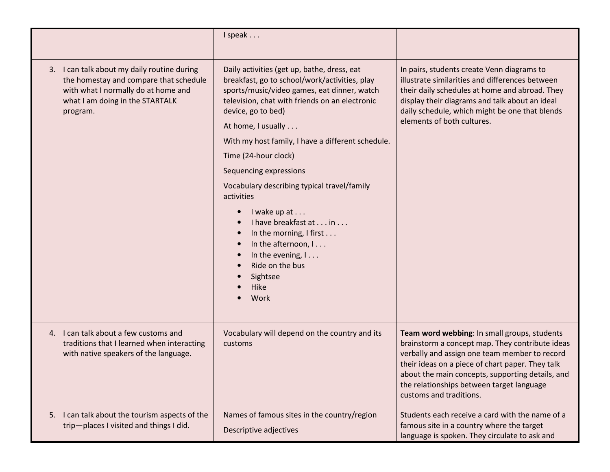|                                                                                                                                                                                | I speak                                                                                                                                                                                                                                                                                                                                                                                                                                                                                                                                                                                |                                                                                                                                                                                                                                                                                                                                  |
|--------------------------------------------------------------------------------------------------------------------------------------------------------------------------------|----------------------------------------------------------------------------------------------------------------------------------------------------------------------------------------------------------------------------------------------------------------------------------------------------------------------------------------------------------------------------------------------------------------------------------------------------------------------------------------------------------------------------------------------------------------------------------------|----------------------------------------------------------------------------------------------------------------------------------------------------------------------------------------------------------------------------------------------------------------------------------------------------------------------------------|
| I can talk about my daily routine during<br>3.<br>the homestay and compare that schedule<br>with what I normally do at home and<br>what I am doing in the STARTALK<br>program. | Daily activities (get up, bathe, dress, eat<br>breakfast, go to school/work/activities, play<br>sports/music/video games, eat dinner, watch<br>television, chat with friends on an electronic<br>device, go to bed)<br>At home, I usually<br>With my host family, I have a different schedule.<br>Time (24-hour clock)<br>Sequencing expressions<br>Vocabulary describing typical travel/family<br>activities<br>I wake up at<br>I have breakfast at in<br>In the morning, I first<br>In the afternoon, I<br>In the evening, $l \ldots$<br>Ride on the bus<br>Sightsee<br>Hike<br>Work | In pairs, students create Venn diagrams to<br>illustrate similarities and differences between<br>their daily schedules at home and abroad. They<br>display their diagrams and talk about an ideal<br>daily schedule, which might be one that blends<br>elements of both cultures.                                                |
| 4. I can talk about a few customs and<br>traditions that I learned when interacting<br>with native speakers of the language.                                                   | Vocabulary will depend on the country and its<br>customs                                                                                                                                                                                                                                                                                                                                                                                                                                                                                                                               | Team word webbing: In small groups, students<br>brainstorm a concept map. They contribute ideas<br>verbally and assign one team member to record<br>their ideas on a piece of chart paper. They talk<br>about the main concepts, supporting details, and<br>the relationships between target language<br>customs and traditions. |
| I can talk about the tourism aspects of the<br>5.<br>trip-places I visited and things I did.                                                                                   | Names of famous sites in the country/region<br>Descriptive adjectives                                                                                                                                                                                                                                                                                                                                                                                                                                                                                                                  | Students each receive a card with the name of a<br>famous site in a country where the target<br>language is spoken. They circulate to ask and                                                                                                                                                                                    |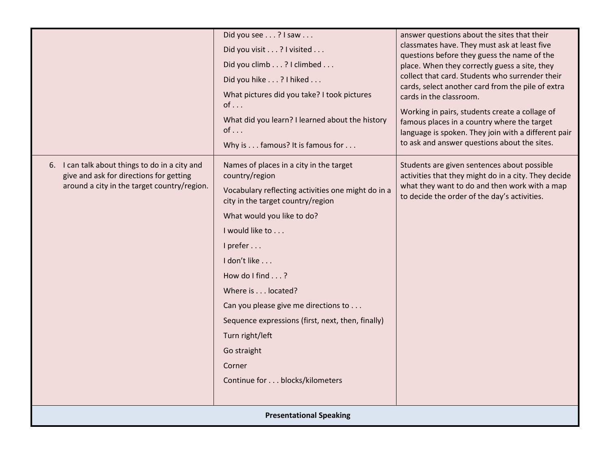|                                                                                                                                          | Did you see? I saw<br>Did you visit? I visited<br>Did you climb? I climbed<br>Did you hike? I hiked<br>What pictures did you take? I took pictures<br>$of \ldots$<br>What did you learn? I learned about the history<br>$of \ldots$<br>Why is famous? It is famous for                                                                                                                                                                                        | answer questions about the sites that their<br>classmates have. They must ask at least five<br>questions before they guess the name of the<br>place. When they correctly guess a site, they<br>collect that card. Students who surrender their<br>cards, select another card from the pile of extra<br>cards in the classroom.<br>Working in pairs, students create a collage of<br>famous places in a country where the target<br>language is spoken. They join with a different pair<br>to ask and answer questions about the sites. |  |  |
|------------------------------------------------------------------------------------------------------------------------------------------|---------------------------------------------------------------------------------------------------------------------------------------------------------------------------------------------------------------------------------------------------------------------------------------------------------------------------------------------------------------------------------------------------------------------------------------------------------------|----------------------------------------------------------------------------------------------------------------------------------------------------------------------------------------------------------------------------------------------------------------------------------------------------------------------------------------------------------------------------------------------------------------------------------------------------------------------------------------------------------------------------------------|--|--|
| 6. I can talk about things to do in a city and<br>give and ask for directions for getting<br>around a city in the target country/region. | Names of places in a city in the target<br>country/region<br>Vocabulary reflecting activities one might do in a<br>city in the target country/region<br>What would you like to do?<br>I would like to<br>I prefer<br>I don't like<br>How do I find $\ldots$ ?<br>Where is located?<br>Can you please give me directions to<br>Sequence expressions (first, next, then, finally)<br>Turn right/left<br>Go straight<br>Corner<br>Continue for blocks/kilometers | Students are given sentences about possible<br>activities that they might do in a city. They decide<br>what they want to do and then work with a map<br>to decide the order of the day's activities.                                                                                                                                                                                                                                                                                                                                   |  |  |
| <b>Presentational Speaking</b>                                                                                                           |                                                                                                                                                                                                                                                                                                                                                                                                                                                               |                                                                                                                                                                                                                                                                                                                                                                                                                                                                                                                                        |  |  |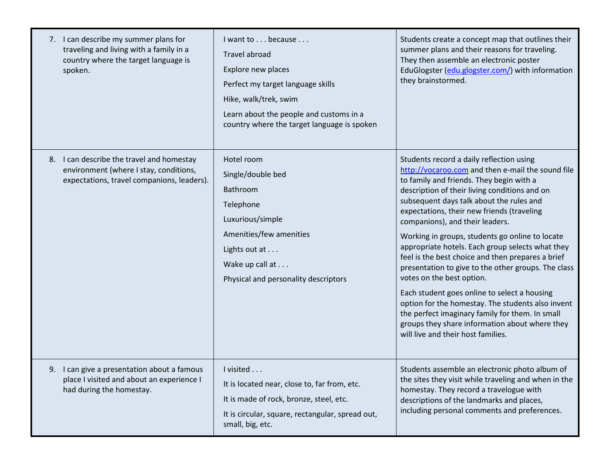| 7. I can describe my summer plans for<br>traveling and living with a family in a<br>country where the target language is<br>spoken. | I want to because<br><b>Travel abroad</b><br>Explore new places<br>Perfect my target language skills<br>Hike, walk/trek, swim<br>Learn about the people and customs in a<br>country where the target language is spoken | Students create a concept map that outlines their<br>summer plans and their reasons for traveling.<br>They then assemble an electronic poster<br>EduGlogster (edu.glogster.com/) with information<br>they brainstormed.                                                                                                                                                                                                                                                                                                                                                                                                                                                                                                                                                                                                 |
|-------------------------------------------------------------------------------------------------------------------------------------|-------------------------------------------------------------------------------------------------------------------------------------------------------------------------------------------------------------------------|-------------------------------------------------------------------------------------------------------------------------------------------------------------------------------------------------------------------------------------------------------------------------------------------------------------------------------------------------------------------------------------------------------------------------------------------------------------------------------------------------------------------------------------------------------------------------------------------------------------------------------------------------------------------------------------------------------------------------------------------------------------------------------------------------------------------------|
| 8. I can describe the travel and homestay<br>environment (where I stay, conditions,<br>expectations, travel companions, leaders).   | Hotel room<br>Single/double bed<br>Bathroom<br>Telephone<br>Luxurious/simple<br>Amenities/few amenities<br>Lights out at<br>Wake up call at<br>Physical and personality descriptors                                     | Students record a daily reflection using<br>http://vocaroo.com and then e-mail the sound file<br>to family and friends. They begin with a<br>description of their living conditions and on<br>subsequent days talk about the rules and<br>expectations, their new friends (traveling<br>companions), and their leaders.<br>Working in groups, students go online to locate<br>appropriate hotels. Each group selects what they<br>feel is the best choice and then prepares a brief<br>presentation to give to the other groups. The class<br>votes on the best option.<br>Each student goes online to select a housing<br>option for the homestay. The students also invent<br>the perfect imaginary family for them. In small<br>groups they share information about where they<br>will live and their host families. |
| 9. I can give a presentation about a famous<br>place I visited and about an experience I<br>had during the homestay.                | I visited<br>It is located near, close to, far from, etc.<br>It is made of rock, bronze, steel, etc.<br>It is circular, square, rectangular, spread out,<br>small, big, etc.                                            | Students assemble an electronic photo album of<br>the sites they visit while traveling and when in the<br>homestay. They record a travelogue with<br>descriptions of the landmarks and places,<br>including personal comments and preferences.                                                                                                                                                                                                                                                                                                                                                                                                                                                                                                                                                                          |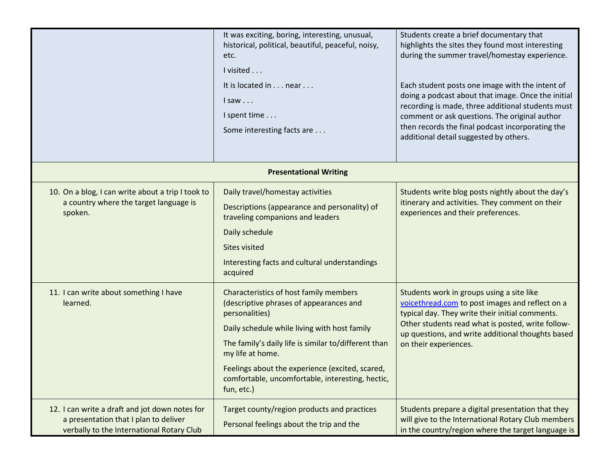|                                                                                                                                      | It was exciting, boring, interesting, unusual,<br>historical, political, beautiful, peaceful, noisy,              | Students create a brief documentary that<br>highlights the sites they found most interesting                                                                  |
|--------------------------------------------------------------------------------------------------------------------------------------|-------------------------------------------------------------------------------------------------------------------|---------------------------------------------------------------------------------------------------------------------------------------------------------------|
|                                                                                                                                      | etc.                                                                                                              | during the summer travel/homestay experience.                                                                                                                 |
|                                                                                                                                      | I visited                                                                                                         |                                                                                                                                                               |
|                                                                                                                                      | It is located in near                                                                                             | Each student posts one image with the intent of                                                                                                               |
|                                                                                                                                      | lsaw                                                                                                              | doing a podcast about that image. Once the initial<br>recording is made, three additional students must                                                       |
|                                                                                                                                      | I spent time                                                                                                      | comment or ask questions. The original author                                                                                                                 |
|                                                                                                                                      | Some interesting facts are                                                                                        | then records the final podcast incorporating the<br>additional detail suggested by others.                                                                    |
|                                                                                                                                      |                                                                                                                   |                                                                                                                                                               |
|                                                                                                                                      | <b>Presentational Writing</b>                                                                                     |                                                                                                                                                               |
| 10. On a blog, I can write about a trip I took to                                                                                    | Daily travel/homestay activities                                                                                  | Students write blog posts nightly about the day's                                                                                                             |
| a country where the target language is<br>spoken.                                                                                    | Descriptions (appearance and personality) of<br>traveling companions and leaders                                  | itinerary and activities. They comment on their<br>experiences and their preferences.                                                                         |
|                                                                                                                                      | Daily schedule                                                                                                    |                                                                                                                                                               |
|                                                                                                                                      | <b>Sites visited</b>                                                                                              |                                                                                                                                                               |
|                                                                                                                                      | Interesting facts and cultural understandings<br>acquired                                                         |                                                                                                                                                               |
| 11. I can write about something I have<br>learned.                                                                                   | Characteristics of host family members<br>(descriptive phrases of appearances and<br>personalities)               | Students work in groups using a site like<br>voicethread.com to post images and reflect on a<br>typical day. They write their initial comments.               |
|                                                                                                                                      | Daily schedule while living with host family                                                                      | Other students read what is posted, write follow-<br>up questions, and write additional thoughts based                                                        |
|                                                                                                                                      | The family's daily life is similar to/different than<br>my life at home.                                          | on their experiences.                                                                                                                                         |
|                                                                                                                                      | Feelings about the experience (excited, scared,<br>comfortable, uncomfortable, interesting, hectic,<br>fun, etc.) |                                                                                                                                                               |
| 12. I can write a draft and jot down notes for<br>a presentation that I plan to deliver<br>verbally to the International Rotary Club | Target county/region products and practices<br>Personal feelings about the trip and the                           | Students prepare a digital presentation that they<br>will give to the International Rotary Club members<br>in the country/region where the target language is |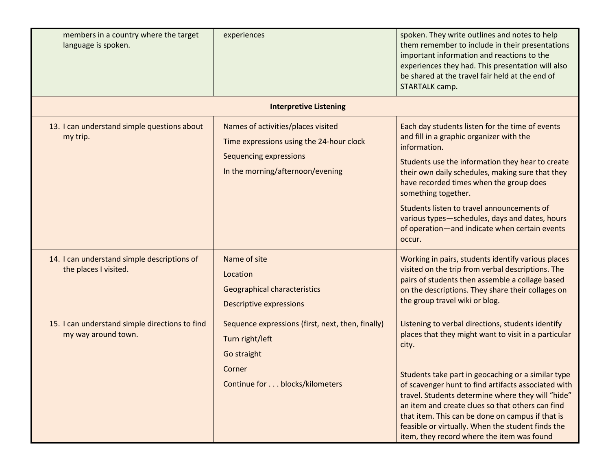| members in a country where the target<br>language is spoken.          | experiences                                                                                                                                  | spoken. They write outlines and notes to help<br>them remember to include in their presentations<br>important information and reactions to the<br>experiences they had. This presentation will also<br>be shared at the travel fair held at the end of<br>STARTALK camp.                                                                                                                                                                                                                        |
|-----------------------------------------------------------------------|----------------------------------------------------------------------------------------------------------------------------------------------|-------------------------------------------------------------------------------------------------------------------------------------------------------------------------------------------------------------------------------------------------------------------------------------------------------------------------------------------------------------------------------------------------------------------------------------------------------------------------------------------------|
|                                                                       | <b>Interpretive Listening</b>                                                                                                                |                                                                                                                                                                                                                                                                                                                                                                                                                                                                                                 |
| 13. I can understand simple questions about<br>my trip.               | Names of activities/places visited<br>Time expressions using the 24-hour clock<br>Sequencing expressions<br>In the morning/afternoon/evening | Each day students listen for the time of events<br>and fill in a graphic organizer with the<br>information.<br>Students use the information they hear to create<br>their own daily schedules, making sure that they<br>have recorded times when the group does<br>something together.<br>Students listen to travel announcements of<br>various types-schedules, days and dates, hours<br>of operation-and indicate when certain events<br>occur.                                                |
| 14. I can understand simple descriptions of<br>the places I visited.  | Name of site<br>Location<br>Geographical characteristics<br>Descriptive expressions                                                          | Working in pairs, students identify various places<br>visited on the trip from verbal descriptions. The<br>pairs of students then assemble a collage based<br>on the descriptions. They share their collages on<br>the group travel wiki or blog.                                                                                                                                                                                                                                               |
| 15. I can understand simple directions to find<br>my way around town. | Sequence expressions (first, next, then, finally)<br>Turn right/left<br>Go straight<br>Corner<br>Continue for blocks/kilometers              | Listening to verbal directions, students identify<br>places that they might want to visit in a particular<br>city.<br>Students take part in geocaching or a similar type<br>of scavenger hunt to find artifacts associated with<br>travel. Students determine where they will "hide"<br>an item and create clues so that others can find<br>that item. This can be done on campus if that is<br>feasible or virtually. When the student finds the<br>item, they record where the item was found |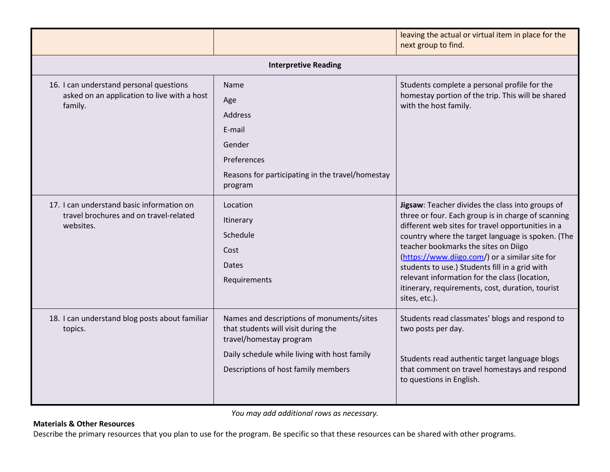|                                                                                                   |                                                                                                                                                                                                    | leaving the actual or virtual item in place for the<br>next group to find.                                                                                                                                                                                                                                                                                                                                                                                                         |  |
|---------------------------------------------------------------------------------------------------|----------------------------------------------------------------------------------------------------------------------------------------------------------------------------------------------------|------------------------------------------------------------------------------------------------------------------------------------------------------------------------------------------------------------------------------------------------------------------------------------------------------------------------------------------------------------------------------------------------------------------------------------------------------------------------------------|--|
| <b>Interpretive Reading</b>                                                                       |                                                                                                                                                                                                    |                                                                                                                                                                                                                                                                                                                                                                                                                                                                                    |  |
| 16. I can understand personal questions<br>asked on an application to live with a host<br>family. | <b>Name</b><br>Age<br>Address<br>E-mail<br>Gender<br>Preferences<br>Reasons for participating in the travel/homestay<br>program                                                                    | Students complete a personal profile for the<br>homestay portion of the trip. This will be shared<br>with the host family.                                                                                                                                                                                                                                                                                                                                                         |  |
| 17. I can understand basic information on<br>travel brochures and on travel-related<br>websites.  | Location<br>Itinerary<br>Schedule<br>Cost<br>Dates<br>Requirements                                                                                                                                 | Jigsaw: Teacher divides the class into groups of<br>three or four. Each group is in charge of scanning<br>different web sites for travel opportunities in a<br>country where the target language is spoken. (The<br>teacher bookmarks the sites on Diigo<br>(https://www.diigo.com/) or a similar site for<br>students to use.) Students fill in a grid with<br>relevant information for the class (location,<br>itinerary, requirements, cost, duration, tourist<br>sites, etc.). |  |
| 18. I can understand blog posts about familiar<br>topics.                                         | Names and descriptions of monuments/sites<br>that students will visit during the<br>travel/homestay program<br>Daily schedule while living with host family<br>Descriptions of host family members | Students read classmates' blogs and respond to<br>two posts per day.<br>Students read authentic target language blogs<br>that comment on travel homestays and respond<br>to questions in English.                                                                                                                                                                                                                                                                                  |  |

You may add additional rows as necessary.

## Materials & Other Resources

Describe the primary resources that you plan to use for the program. Be specific so that these resources can be shared with other programs.